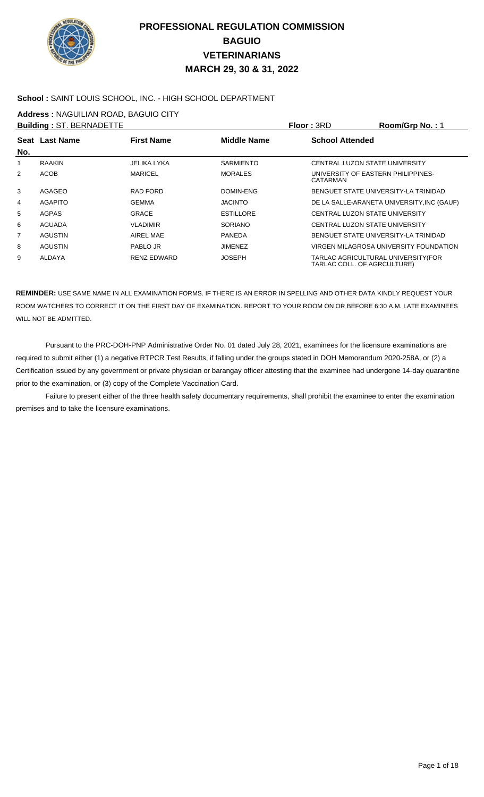

#### **School :** SAINT LOUIS SCHOOL, INC. - HIGH SCHOOL DEPARTMENT

**Address :** NAGUILIAN ROAD, BAGUIO CITY

|                | <b>Building: ST. BERNADETTE</b> |                    |                  | Floor: 3RD                                                         | Room/Grp No.: 1                            |
|----------------|---------------------------------|--------------------|------------------|--------------------------------------------------------------------|--------------------------------------------|
| No.            | Seat Last Name                  | <b>First Name</b>  | Middle Name      | <b>School Attended</b>                                             |                                            |
| 1              | <b>RAAKIN</b>                   | JELIKA LYKA        | <b>SARMIENTO</b> | CENTRAL LUZON STATE UNIVERSITY                                     |                                            |
| 2              | <b>ACOB</b>                     | <b>MARICEL</b>     | <b>MORALES</b>   | UNIVERSITY OF EASTERN PHILIPPINES-<br>CATARMAN                     |                                            |
| 3              | AGAGEO                          | RAD FORD           | DOMIN-ENG        | BENGUET STATE UNIVERSITY-LA TRINIDAD                               |                                            |
| 4              | <b>AGAPITO</b>                  | <b>GEMMA</b>       | <b>JACINTO</b>   |                                                                    | DE LA SALLE-ARANETA UNIVERSITY, INC (GAUF) |
| 5              | <b>AGPAS</b>                    | <b>GRACE</b>       | <b>ESTILLORE</b> | CENTRAL LUZON STATE UNIVERSITY                                     |                                            |
| 6              | <b>AGUADA</b>                   | <b>VLADIMIR</b>    | <b>SORIANO</b>   | CENTRAL LUZON STATE UNIVERSITY                                     |                                            |
| $\overline{7}$ | <b>AGUSTIN</b>                  | AIREL MAE          | <b>PANEDA</b>    | BENGUET STATE UNIVERSITY-LA TRINIDAD                               |                                            |
| 8              | <b>AGUSTIN</b>                  | PABLO JR           | <b>JIMENEZ</b>   |                                                                    | VIRGEN MILAGROSA UNIVERSITY FOUNDATION     |
| 9              | ALDAYA                          | <b>RENZ EDWARD</b> | <b>JOSEPH</b>    | TARLAC AGRICULTURAL UNIVERSITY (FOR<br>TARLAC COLL. OF AGRCULTURE) |                                            |

**REMINDER:** USE SAME NAME IN ALL EXAMINATION FORMS. IF THERE IS AN ERROR IN SPELLING AND OTHER DATA KINDLY REQUEST YOUR ROOM WATCHERS TO CORRECT IT ON THE FIRST DAY OF EXAMINATION. REPORT TO YOUR ROOM ON OR BEFORE 6:30 A.M. LATE EXAMINEES WILL NOT BE ADMITTED.

Pursuant to the PRC-DOH-PNP Administrative Order No. 01 dated July 28, 2021, examinees for the licensure examinations are required to submit either (1) a negative RTPCR Test Results, if falling under the groups stated in DOH Memorandum 2020-258A, or (2) a Certification issued by any government or private physician or barangay officer attesting that the examinee had undergone 14-day quarantine prior to the examination, or (3) copy of the Complete Vaccination Card.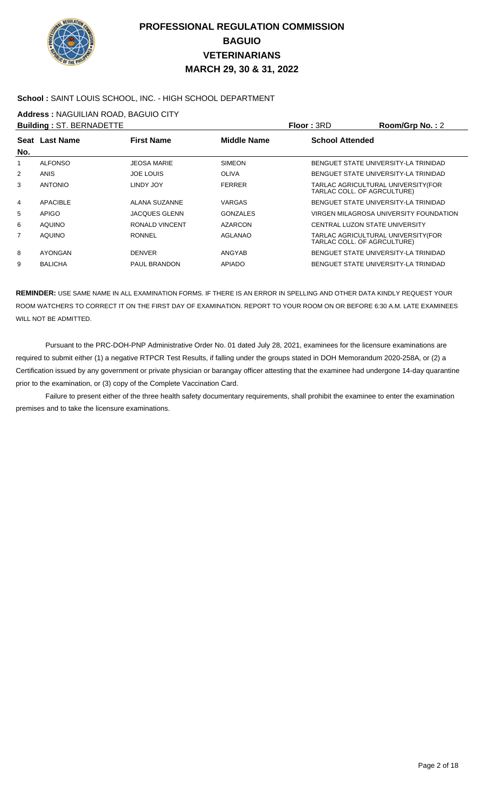

#### **School :** SAINT LOUIS SCHOOL, INC. - HIGH SCHOOL DEPARTMENT

**Address :** NAGUILIAN ROAD, BAGUIO CITY

|                | <b>Building: ST. BERNADETTE</b> |                      |                    | Floor: 3RD                                                         | Room/Grp No.: 2                        |
|----------------|---------------------------------|----------------------|--------------------|--------------------------------------------------------------------|----------------------------------------|
|                | Seat Last Name                  | <b>First Name</b>    | <b>Middle Name</b> | <b>School Attended</b>                                             |                                        |
| No.            |                                 |                      |                    |                                                                    |                                        |
| 1              | <b>ALFONSO</b>                  | <b>JEOSA MARIE</b>   | <b>SIMEON</b>      |                                                                    | BENGUET STATE UNIVERSITY-LA TRINIDAD   |
| 2              | <b>ANIS</b>                     | <b>JOE LOUIS</b>     | <b>OLIVA</b>       |                                                                    | BENGUET STATE UNIVERSITY-LA TRINIDAD   |
| 3              | <b>ANTONIO</b>                  | LINDY JOY            | <b>FERRER</b>      | TARLAC AGRICULTURAL UNIVERSITY (FOR<br>TARLAC COLL. OF AGRCULTURE) |                                        |
| 4              | <b>APACIBLE</b>                 | ALANA SUZANNE        | VARGAS             |                                                                    | BENGUET STATE UNIVERSITY-LA TRINIDAD   |
| 5              | <b>APIGO</b>                    | <b>JACQUES GLENN</b> | <b>GONZALES</b>    |                                                                    | VIRGEN MILAGROSA UNIVERSITY FOUNDATION |
| 6              | <b>AQUINO</b>                   | RONALD VINCENT       | <b>AZARCON</b>     | CENTRAL LUZON STATE UNIVERSITY                                     |                                        |
| $\overline{7}$ | <b>AQUINO</b>                   | <b>RONNEL</b>        | <b>AGLANAO</b>     | TARLAC AGRICULTURAL UNIVERSITY (FOR<br>TARLAC COLL. OF AGRCULTURE) |                                        |
| 8              | AYONGAN                         | <b>DENVER</b>        | ANGYAB             | BENGUET STATE UNIVERSITY-LA TRINIDAD                               |                                        |
| 9              | <b>BALICHA</b>                  | <b>PAUL BRANDON</b>  | <b>APIADO</b>      |                                                                    | BENGUET STATE UNIVERSITY-LA TRINIDAD   |
|                |                                 |                      |                    |                                                                    |                                        |

**REMINDER:** USE SAME NAME IN ALL EXAMINATION FORMS. IF THERE IS AN ERROR IN SPELLING AND OTHER DATA KINDLY REQUEST YOUR ROOM WATCHERS TO CORRECT IT ON THE FIRST DAY OF EXAMINATION. REPORT TO YOUR ROOM ON OR BEFORE 6:30 A.M. LATE EXAMINEES WILL NOT BE ADMITTED.

 Pursuant to the PRC-DOH-PNP Administrative Order No. 01 dated July 28, 2021, examinees for the licensure examinations are required to submit either (1) a negative RTPCR Test Results, if falling under the groups stated in DOH Memorandum 2020-258A, or (2) a Certification issued by any government or private physician or barangay officer attesting that the examinee had undergone 14-day quarantine prior to the examination, or (3) copy of the Complete Vaccination Card.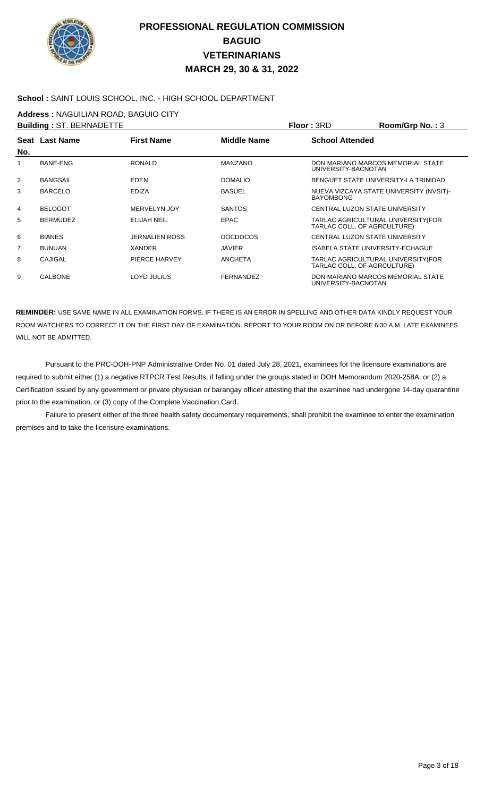

### **School :** SAINT LOUIS SCHOOL, INC. - HIGH SCHOOL DEPARTMENT

**Address :** NAGUILIAN ROAD, BAGUIO CITY

|                | <b>Building: ST. BERNADETTE</b> |                       |                  | <b>Floor: 3RD</b>      | Room/Grp No.: 3                                                   |
|----------------|---------------------------------|-----------------------|------------------|------------------------|-------------------------------------------------------------------|
| No.            | Seat Last Name                  | <b>First Name</b>     | Middle Name      | <b>School Attended</b> |                                                                   |
| 1              | <b>BANE-ENG</b>                 | <b>RONALD</b>         | MANZANO          | UNIVERSITY-BACNOTAN    | DON MARIANO MARCOS MEMORIAL STATE                                 |
| 2              | <b>BANGSAIL</b>                 | <b>EDEN</b>           | <b>DOMALIO</b>   |                        | BENGUET STATE UNIVERSITY-LA TRINIDAD                              |
| 3              | <b>BARCELO</b>                  | <b>EDIZA</b>          | <b>BASUEL</b>    | <b>BAYOMBONG</b>       | NUEVA VIZCAYA STATE UNIVERSITY (NVSIT)-                           |
| 4              | <b>BELOGOT</b>                  | MERVELYN JOY          | <b>SANTOS</b>    |                        | CENTRAL LUZON STATE UNIVERSITY                                    |
| 5              | <b>BERMUDEZ</b>                 | <b>ELIJAH NEIL</b>    | <b>EPAC</b>      |                        | TARLAC AGRICULTURAL UNIVERSITY(FOR<br>TARLAC COLL. OF AGRCULTURE) |
| 6              | <b>BIANES</b>                   | <b>JERNALIEN ROSS</b> | <b>DOCDOCOS</b>  |                        | CENTRAL LUZON STATE UNIVERSITY                                    |
| $\overline{7}$ | <b>BUNUAN</b>                   | XANDER                | <b>JAVIER</b>    |                        | <b>ISABELA STATE UNIVERSITY-ECHAGUE</b>                           |
| 8              | CAJIGAL                         | PIERCE HARVEY         | <b>ANCHETA</b>   |                        | TARLAC AGRICULTURAL UNIVERSITY(FOR<br>TARLAC COLL. OF AGRCULTURE) |
| 9              | <b>CALBONE</b>                  | LOYD JULIUS           | <b>FERNANDEZ</b> | UNIVERSITY-BACNOTAN    | DON MARIANO MARCOS MEMORIAL STATE                                 |

**REMINDER:** USE SAME NAME IN ALL EXAMINATION FORMS. IF THERE IS AN ERROR IN SPELLING AND OTHER DATA KINDLY REQUEST YOUR ROOM WATCHERS TO CORRECT IT ON THE FIRST DAY OF EXAMINATION. REPORT TO YOUR ROOM ON OR BEFORE 6:30 A.M. LATE EXAMINEES WILL NOT BE ADMITTED.

 Pursuant to the PRC-DOH-PNP Administrative Order No. 01 dated July 28, 2021, examinees for the licensure examinations are required to submit either (1) a negative RTPCR Test Results, if falling under the groups stated in DOH Memorandum 2020-258A, or (2) a Certification issued by any government or private physician or barangay officer attesting that the examinee had undergone 14-day quarantine prior to the examination, or (3) copy of the Complete Vaccination Card.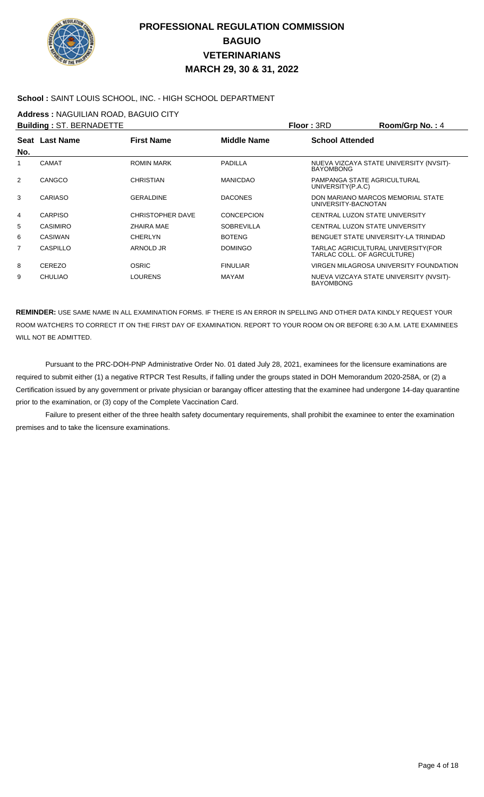

### **School :** SAINT LOUIS SCHOOL, INC. - HIGH SCHOOL DEPARTMENT

**Address :** NAGUILIAN ROAD, BAGUIO CITY

|     | <b>Building: ST. BERNADETTE</b> |                   |                   | <b>Floor: 3RD</b>                                | Room/Grp No.: 4                               |
|-----|---------------------------------|-------------------|-------------------|--------------------------------------------------|-----------------------------------------------|
| No. | Seat Last Name                  | <b>First Name</b> | Middle Name       | <b>School Attended</b>                           |                                               |
| 1   | <b>CAMAT</b>                    | <b>ROMIN MARK</b> | <b>PADILLA</b>    | <b>BAYOMBONG</b>                                 | NUEVA VIZCAYA STATE UNIVERSITY (NVSIT)-       |
| 2   | CANGCO                          | <b>CHRISTIAN</b>  | <b>MANICDAO</b>   | PAMPANGA STATE AGRICULTURAL<br>UNIVERSITY(P.A.C) |                                               |
| 3   | <b>CARIASO</b>                  | <b>GERALDINE</b>  | <b>DACONES</b>    | UNIVERSITY-BACNOTAN                              | DON MARIANO MARCOS MEMORIAL STATE             |
| 4   | <b>CARPISO</b>                  | CHRISTOPHER DAVE  | <b>CONCEPCION</b> | CENTRAL LUZON STATE UNIVERSITY                   |                                               |
| 5   | <b>CASIMIRO</b>                 | ZHAIRA MAE        | <b>SOBREVILLA</b> | CENTRAL LUZON STATE UNIVERSITY                   |                                               |
| 6   | <b>CASIWAN</b>                  | <b>CHERLYN</b>    | <b>BOTENG</b>     |                                                  | BENGUET STATE UNIVERSITY-LA TRINIDAD          |
| 7   | CASPILLO                        | ARNOLD JR         | <b>DOMINGO</b>    | TARLAC COLL. OF AGRCULTURE)                      | TARLAC AGRICULTURAL UNIVERSITY(FOR            |
| 8   | <b>CEREZO</b>                   | <b>OSRIC</b>      | <b>FINULIAR</b>   |                                                  | <b>VIRGEN MILAGROSA UNIVERSITY FOUNDATION</b> |
| 9   | <b>CHULIAO</b>                  | LOURENS           | <b>MAYAM</b>      | <b>BAYOMBONG</b>                                 | NUEVA VIZCAYA STATE UNIVERSITY (NVSIT)-       |

**REMINDER:** USE SAME NAME IN ALL EXAMINATION FORMS. IF THERE IS AN ERROR IN SPELLING AND OTHER DATA KINDLY REQUEST YOUR ROOM WATCHERS TO CORRECT IT ON THE FIRST DAY OF EXAMINATION. REPORT TO YOUR ROOM ON OR BEFORE 6:30 A.M. LATE EXAMINEES WILL NOT BE ADMITTED.

 Pursuant to the PRC-DOH-PNP Administrative Order No. 01 dated July 28, 2021, examinees for the licensure examinations are required to submit either (1) a negative RTPCR Test Results, if falling under the groups stated in DOH Memorandum 2020-258A, or (2) a Certification issued by any government or private physician or barangay officer attesting that the examinee had undergone 14-day quarantine prior to the examination, or (3) copy of the Complete Vaccination Card.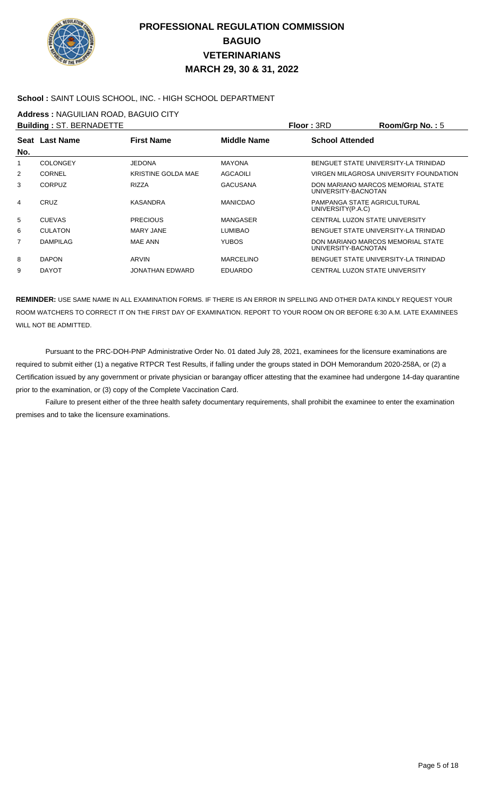

### **School :** SAINT LOUIS SCHOOL, INC. - HIGH SCHOOL DEPARTMENT

**Address :** NAGUILIAN ROAD, BAGUIO CITY

|     | <b>Building: ST. BERNADETTE</b> |                           |                    | Floor: 3RD                                       | Room/Grp No.: $5$                      |
|-----|---------------------------------|---------------------------|--------------------|--------------------------------------------------|----------------------------------------|
|     | Seat Last Name                  | <b>First Name</b>         | <b>Middle Name</b> | <b>School Attended</b>                           |                                        |
| No. |                                 |                           |                    |                                                  |                                        |
|     | <b>COLONGEY</b>                 | <b>JEDONA</b>             | <b>MAYONA</b>      |                                                  | BENGUET STATE UNIVERSITY-LA TRINIDAD   |
| 2   | <b>CORNEL</b>                   | <b>KRISTINE GOLDA MAE</b> | <b>AGCAOILI</b>    |                                                  | VIRGEN MILAGROSA UNIVERSITY FOUNDATION |
| 3   | <b>CORPUZ</b>                   | <b>RIZZA</b>              | <b>GACUSANA</b>    | UNIVERSITY-BACNOTAN                              | DON MARIANO MARCOS MEMORIAL STATE      |
| 4   | CRUZ                            | <b>KASANDRA</b>           | <b>MANICDAO</b>    | PAMPANGA STATE AGRICULTURAL<br>UNIVERSITY(P.A.C) |                                        |
| 5   | <b>CUEVAS</b>                   | <b>PRECIOUS</b>           | MANGASER           |                                                  | CENTRAL LUZON STATE UNIVERSITY         |
| 6   | <b>CULATON</b>                  | <b>MARY JANE</b>          | LUMIBAO            |                                                  | BENGUET STATE UNIVERSITY-LA TRINIDAD   |
| 7   | <b>DAMPILAG</b>                 | <b>MAE ANN</b>            | YUBOS.             | UNIVERSITY-BACNOTAN                              | DON MARIANO MARCOS MEMORIAL STATE      |
| 8   | <b>DAPON</b>                    | ARVIN                     | <b>MARCELINO</b>   |                                                  | BENGUET STATE UNIVERSITY-LA TRINIDAD   |
| 9   | <b>DAYOT</b>                    | JONATHAN EDWARD           | <b>EDUARDO</b>     |                                                  | CENTRAL LUZON STATE UNIVERSITY         |

**REMINDER:** USE SAME NAME IN ALL EXAMINATION FORMS. IF THERE IS AN ERROR IN SPELLING AND OTHER DATA KINDLY REQUEST YOUR ROOM WATCHERS TO CORRECT IT ON THE FIRST DAY OF EXAMINATION. REPORT TO YOUR ROOM ON OR BEFORE 6:30 A.M. LATE EXAMINEES WILL NOT BE ADMITTED.

 Pursuant to the PRC-DOH-PNP Administrative Order No. 01 dated July 28, 2021, examinees for the licensure examinations are required to submit either (1) a negative RTPCR Test Results, if falling under the groups stated in DOH Memorandum 2020-258A, or (2) a Certification issued by any government or private physician or barangay officer attesting that the examinee had undergone 14-day quarantine prior to the examination, or (3) copy of the Complete Vaccination Card.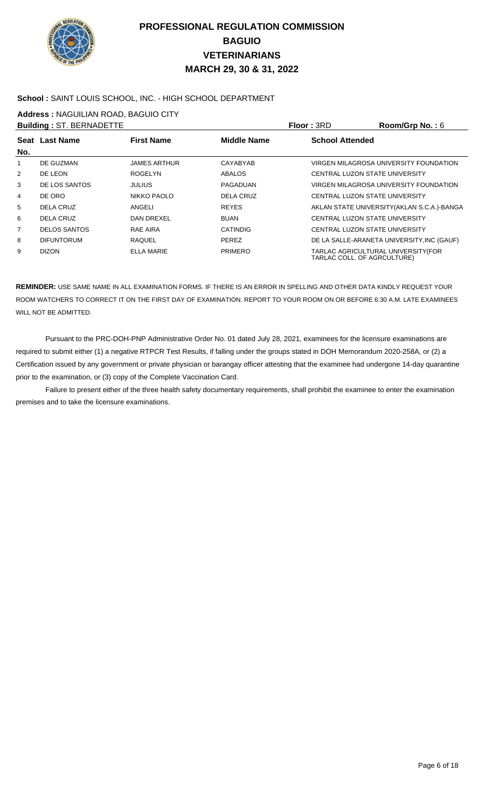

### **School :** SAINT LOUIS SCHOOL, INC. - HIGH SCHOOL DEPARTMENT

**Address :** NAGUILIAN ROAD, BAGUIO CITY

|     | <b>Building: ST. BERNADETTE</b> |                     |                    | <b>Floor: 3RD</b>              | Room/Grp No.: $6$                           |
|-----|---------------------------------|---------------------|--------------------|--------------------------------|---------------------------------------------|
| No. | Seat Last Name                  | <b>First Name</b>   | <b>Middle Name</b> | <b>School Attended</b>         |                                             |
| 1   | DE GUZMAN                       | <b>JAMES ARTHUR</b> | CAYABYAB           |                                | VIRGEN MILAGROSA UNIVERSITY FOUNDATION      |
| 2   | DE LEON                         | <b>ROGELYN</b>      | ABALOS             | CENTRAL LUZON STATE UNIVERSITY |                                             |
| 3   | DE LOS SANTOS                   | <b>JULIUS</b>       | PAGADUAN           |                                | VIRGEN MILAGROSA UNIVERSITY FOUNDATION      |
| 4   | DE ORO                          | NIKKO PAOLO         | DELA CRUZ          | CENTRAL LUZON STATE UNIVERSITY |                                             |
| 5   | DELA CRUZ                       | ANGELI              | <b>REYES</b>       |                                | AKLAN STATE UNIVERSITY (AKLAN S.C.A.)-BANGA |
| 6   | DELA CRUZ                       | DAN DREXEL          | <b>BUAN</b>        | CENTRAL LUZON STATE UNIVERSITY |                                             |
| 7   | <b>DELOS SANTOS</b>             | RAE AIRA            | <b>CATINDIG</b>    | CENTRAL LUZON STATE UNIVERSITY |                                             |
| 8   | <b>DIFUNTORUM</b>               | RAQUEL              | <b>PEREZ</b>       |                                | DE LA SALLE-ARANETA UNIVERSITY, INC (GAUF)  |
| 9   | <b>DIZON</b>                    | <b>ELLA MARIE</b>   | <b>PRIMERO</b>     | TARLAC COLL. OF AGRCULTURE)    | TARLAC AGRICULTURAL UNIVERSITY (FOR         |

**REMINDER:** USE SAME NAME IN ALL EXAMINATION FORMS. IF THERE IS AN ERROR IN SPELLING AND OTHER DATA KINDLY REQUEST YOUR ROOM WATCHERS TO CORRECT IT ON THE FIRST DAY OF EXAMINATION. REPORT TO YOUR ROOM ON OR BEFORE 6:30 A.M. LATE EXAMINEES WILL NOT BE ADMITTED.

 Pursuant to the PRC-DOH-PNP Administrative Order No. 01 dated July 28, 2021, examinees for the licensure examinations are required to submit either (1) a negative RTPCR Test Results, if falling under the groups stated in DOH Memorandum 2020-258A, or (2) a Certification issued by any government or private physician or barangay officer attesting that the examinee had undergone 14-day quarantine prior to the examination, or (3) copy of the Complete Vaccination Card.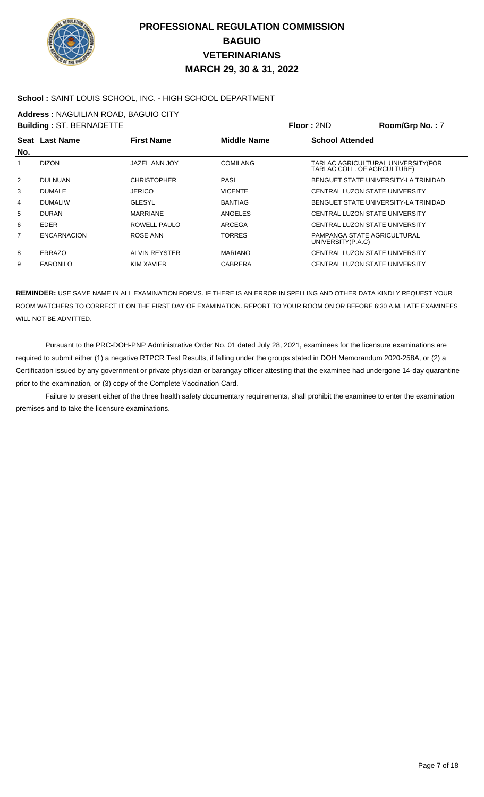

### **School :** SAINT LOUIS SCHOOL, INC. - HIGH SCHOOL DEPARTMENT

**Address :** NAGUILIAN ROAD, BAGUIO CITY

|                    |                                                   |                    |                        | Room/Grp No.: 7                                                                                                                                                                                                                                    |
|--------------------|---------------------------------------------------|--------------------|------------------------|----------------------------------------------------------------------------------------------------------------------------------------------------------------------------------------------------------------------------------------------------|
|                    | <b>First Name</b>                                 | <b>Middle Name</b> | <b>School Attended</b> |                                                                                                                                                                                                                                                    |
|                    |                                                   |                    |                        |                                                                                                                                                                                                                                                    |
| <b>DIZON</b>       | JAZEL ANN JOY                                     | <b>COMILANG</b>    |                        | TARLAC AGRICULTURAL UNIVERSITY (FOR                                                                                                                                                                                                                |
| <b>DULNUAN</b>     | <b>CHRISTOPHER</b>                                | PASI               |                        | BENGUET STATE UNIVERSITY-LA TRINIDAD                                                                                                                                                                                                               |
| <b>DUMALE</b>      | <b>JERICO</b>                                     | <b>VICENTE</b>     |                        |                                                                                                                                                                                                                                                    |
| <b>DUMALIW</b>     | <b>GLESYL</b>                                     | <b>BANTIAG</b>     |                        | BENGUET STATE UNIVERSITY-LA TRINIDAD                                                                                                                                                                                                               |
| <b>DURAN</b>       | <b>MARRIANE</b>                                   | ANGELES            |                        |                                                                                                                                                                                                                                                    |
| <b>EDER</b>        | ROWELL PAULO                                      | <b>ARCEGA</b>      |                        |                                                                                                                                                                                                                                                    |
| <b>ENCARNACION</b> | ROSE ANN                                          | <b>TORRES</b>      | UNIVERSITY(P.A.C)      |                                                                                                                                                                                                                                                    |
| ERRAZO             | ALVIN REYSTER                                     | <b>MARIANO</b>     |                        |                                                                                                                                                                                                                                                    |
| <b>FARONILO</b>    | <b>KIM XAVIER</b>                                 | <b>CABRERA</b>     |                        |                                                                                                                                                                                                                                                    |
|                    | <b>Building: ST. BERNADETTE</b><br>Seat Last Name |                    |                        | Floor: 2ND<br>TARLAC COLL. OF AGRCULTURE)<br>CENTRAL LUZON STATE UNIVERSITY<br>CENTRAL LUZON STATE UNIVERSITY<br>CENTRAL LUZON STATE UNIVERSITY<br>PAMPANGA STATE AGRICULTURAL<br>CENTRAL LUZON STATE UNIVERSITY<br>CENTRAL LUZON STATE UNIVERSITY |

**REMINDER:** USE SAME NAME IN ALL EXAMINATION FORMS. IF THERE IS AN ERROR IN SPELLING AND OTHER DATA KINDLY REQUEST YOUR ROOM WATCHERS TO CORRECT IT ON THE FIRST DAY OF EXAMINATION. REPORT TO YOUR ROOM ON OR BEFORE 6:30 A.M. LATE EXAMINEES WILL NOT BE ADMITTED.

 Pursuant to the PRC-DOH-PNP Administrative Order No. 01 dated July 28, 2021, examinees for the licensure examinations are required to submit either (1) a negative RTPCR Test Results, if falling under the groups stated in DOH Memorandum 2020-258A, or (2) a Certification issued by any government or private physician or barangay officer attesting that the examinee had undergone 14-day quarantine prior to the examination, or (3) copy of the Complete Vaccination Card.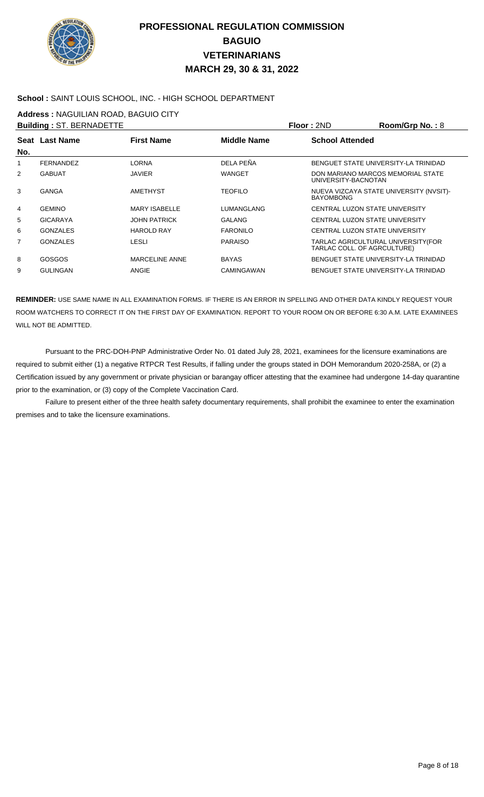

### **School :** SAINT LOUIS SCHOOL, INC. - HIGH SCHOOL DEPARTMENT

**Address :** NAGUILIAN ROAD, BAGUIO CITY

|     | <b>Building: ST. BERNADETTE</b> |                      |                    | Floor: 2ND                     | Room/Grp No.: 8                         |
|-----|---------------------------------|----------------------|--------------------|--------------------------------|-----------------------------------------|
|     | Seat Last Name                  | <b>First Name</b>    | <b>Middle Name</b> | <b>School Attended</b>         |                                         |
| No. |                                 |                      |                    |                                |                                         |
| 1   | <b>FERNANDEZ</b>                | <b>LORNA</b>         | DELA PEÑA          |                                | BENGUET STATE UNIVERSITY-LA TRINIDAD    |
| 2   | <b>GABUAT</b>                   | <b>JAVIER</b>        | <b>WANGET</b>      | UNIVERSITY-BACNOTAN            | DON MARIANO MARCOS MEMORIAL STATE       |
| 3   | GANGA                           | AMETHYST             | <b>TEOFILO</b>     | <b>BAYOMBONG</b>               | NUEVA VIZCAYA STATE UNIVERSITY (NVSIT)- |
| 4   | <b>GEMINO</b>                   | <b>MARY ISABELLE</b> | LUMANGLANG         | CENTRAL LUZON STATE UNIVERSITY |                                         |
| 5   | <b>GICARAYA</b>                 | <b>JOHN PATRICK</b>  | <b>GALANG</b>      | CENTRAL LUZON STATE UNIVERSITY |                                         |
| 6   | <b>GONZALES</b>                 | <b>HAROLD RAY</b>    | <b>FARONILO</b>    | CENTRAL LUZON STATE UNIVERSITY |                                         |
| 7   | <b>GONZALES</b>                 | <b>LESLI</b>         | <b>PARAISO</b>     | TARLAC COLL. OF AGRCULTURE)    | TARLAC AGRICULTURAL UNIVERSITY(FOR      |
| 8   | GOSGOS                          | MARCELINE ANNE       | <b>BAYAS</b>       |                                | BENGUET STATE UNIVERSITY-LA TRINIDAD    |
| 9   | <b>GULINGAN</b>                 | ANGIE                | <b>CAMINGAWAN</b>  |                                | BENGUET STATE UNIVERSITY-LA TRINIDAD    |

**REMINDER:** USE SAME NAME IN ALL EXAMINATION FORMS. IF THERE IS AN ERROR IN SPELLING AND OTHER DATA KINDLY REQUEST YOUR ROOM WATCHERS TO CORRECT IT ON THE FIRST DAY OF EXAMINATION. REPORT TO YOUR ROOM ON OR BEFORE 6:30 A.M. LATE EXAMINEES WILL NOT BE ADMITTED.

 Pursuant to the PRC-DOH-PNP Administrative Order No. 01 dated July 28, 2021, examinees for the licensure examinations are required to submit either (1) a negative RTPCR Test Results, if falling under the groups stated in DOH Memorandum 2020-258A, or (2) a Certification issued by any government or private physician or barangay officer attesting that the examinee had undergone 14-day quarantine prior to the examination, or (3) copy of the Complete Vaccination Card.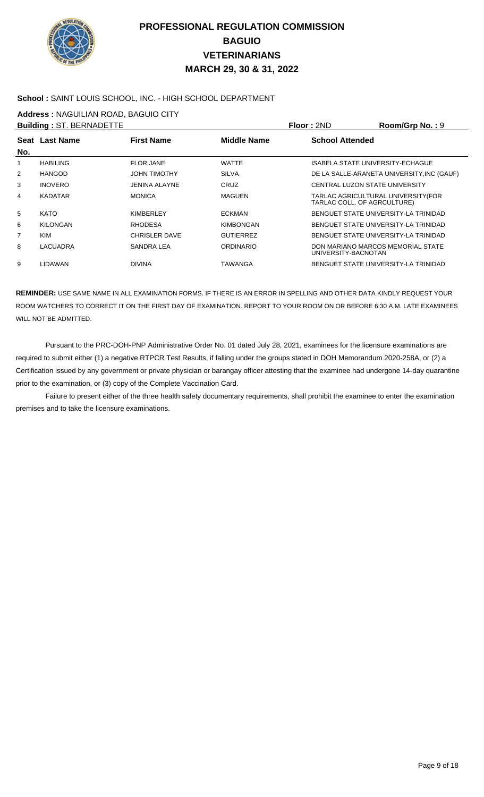

#### **School :** SAINT LOUIS SCHOOL, INC. - HIGH SCHOOL DEPARTMENT

**Address :** NAGUILIAN ROAD, BAGUIO CITY

|     | <b>Building: ST. BERNADETTE</b> |                      |                    | Floor: 2ND                                                         | Room/Grp No.: 9                            |
|-----|---------------------------------|----------------------|--------------------|--------------------------------------------------------------------|--------------------------------------------|
|     | Seat Last Name                  | <b>First Name</b>    | <b>Middle Name</b> | <b>School Attended</b>                                             |                                            |
| No. |                                 |                      |                    |                                                                    |                                            |
|     | <b>HABILING</b>                 | <b>FLOR JANE</b>     | <b>WATTE</b>       | ISABELA STATE UNIVERSITY-ECHAGUE                                   |                                            |
| 2   | <b>HANGOD</b>                   | <b>JOHN TIMOTHY</b>  | <b>SILVA</b>       |                                                                    | DE LA SALLE-ARANETA UNIVERSITY, INC (GAUF) |
| 3   | <b>INOVERO</b>                  | <b>JENINA ALAYNE</b> | CRUZ               | CENTRAL LUZON STATE UNIVERSITY                                     |                                            |
| 4   | <b>KADATAR</b>                  | <b>MONICA</b>        | <b>MAGUEN</b>      | TARLAC AGRICULTURAL UNIVERSITY (FOR<br>TARLAC COLL. OF AGRCULTURE) |                                            |
| 5   | <b>KATO</b>                     | <b>KIMBERLEY</b>     | <b>ECKMAN</b>      |                                                                    | BENGUET STATE UNIVERSITY-LA TRINIDAD       |
| 6   | <b>KILONGAN</b>                 | <b>RHODESA</b>       | <b>KIMBONGAN</b>   |                                                                    | BENGUET STATE UNIVERSITY-LA TRINIDAD       |
| 7   | KIM                             | <b>CHRISLER DAVE</b> | <b>GUTIERREZ</b>   |                                                                    | BENGUET STATE UNIVERSITY-LA TRINIDAD       |
| 8   | LACUADRA                        | SANDRA LEA           | <b>ORDINARIO</b>   | DON MARIANO MARCOS MEMORIAL STATE<br>UNIVERSITY-BACNOTAN           |                                            |
| 9   | LIDAWAN                         | <b>DIVINA</b>        | TAWANGA            |                                                                    | BENGUET STATE UNIVERSITY-LA TRINIDAD       |

**REMINDER:** USE SAME NAME IN ALL EXAMINATION FORMS. IF THERE IS AN ERROR IN SPELLING AND OTHER DATA KINDLY REQUEST YOUR ROOM WATCHERS TO CORRECT IT ON THE FIRST DAY OF EXAMINATION. REPORT TO YOUR ROOM ON OR BEFORE 6:30 A.M. LATE EXAMINEES WILL NOT BE ADMITTED.

 Pursuant to the PRC-DOH-PNP Administrative Order No. 01 dated July 28, 2021, examinees for the licensure examinations are required to submit either (1) a negative RTPCR Test Results, if falling under the groups stated in DOH Memorandum 2020-258A, or (2) a Certification issued by any government or private physician or barangay officer attesting that the examinee had undergone 14-day quarantine prior to the examination, or (3) copy of the Complete Vaccination Card.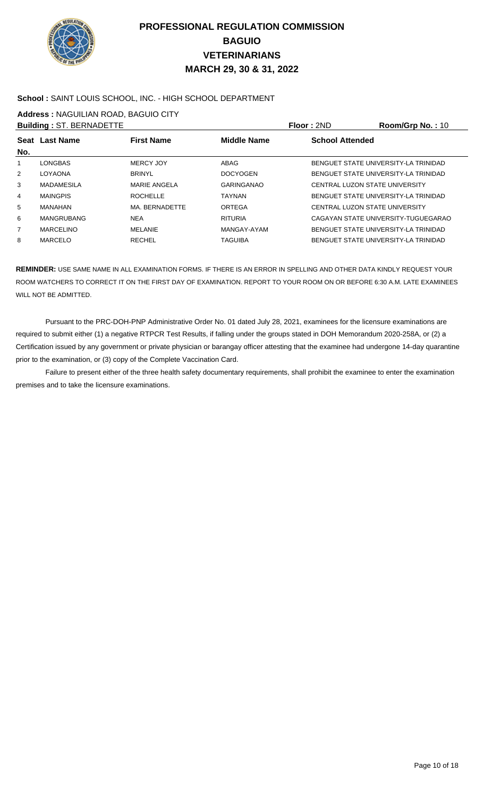

### **School :** SAINT LOUIS SCHOOL, INC. - HIGH SCHOOL DEPARTMENT

**Address :** NAGUILIAN ROAD, BAGUIO CITY

|                | <b>Building: ST. BERNADETTE</b> |                   |                    | Floor: 2ND                     | Room/Grp No.: 10                     |
|----------------|---------------------------------|-------------------|--------------------|--------------------------------|--------------------------------------|
|                | Seat Last Name                  | <b>First Name</b> | <b>Middle Name</b> | <b>School Attended</b>         |                                      |
| No.            |                                 |                   |                    |                                |                                      |
| 1              | LONGBAS                         | MERCY JOY         | ABAG               |                                | BENGUET STATE UNIVERSITY-LA TRINIDAD |
| 2              | <b>LOYAONA</b>                  | <b>BRINYL</b>     | <b>DOCYOGEN</b>    |                                | BENGUET STATE UNIVERSITY-LA TRINIDAD |
| 3              | <b>MADAMESILA</b>               | MARIE ANGELA      | <b>GARINGANAO</b>  | CENTRAL LUZON STATE UNIVERSITY |                                      |
| 4              | <b>MAINGPIS</b>                 | <b>ROCHELLE</b>   | <b>TAYNAN</b>      |                                | BENGUET STATE UNIVERSITY-LA TRINIDAD |
| 5              | MANAHAN                         | MA. BERNADETTE    | ORTEGA             | CENTRAL LUZON STATE UNIVERSITY |                                      |
| 6              | <b>MANGRUBANG</b>               | <b>NEA</b>        | <b>RITURIA</b>     |                                | CAGAYAN STATE UNIVERSITY-TUGUEGARAO  |
| $\overline{7}$ | <b>MARCELINO</b>                | MELANIE           | MANGAY-AYAM        |                                | BENGUET STATE UNIVERSITY-LA TRINIDAD |
| 8              | <b>MARCELO</b>                  | <b>RECHEL</b>     | <b>TAGUIBA</b>     |                                | BENGUET STATE UNIVERSITY-LA TRINIDAD |

**REMINDER:** USE SAME NAME IN ALL EXAMINATION FORMS. IF THERE IS AN ERROR IN SPELLING AND OTHER DATA KINDLY REQUEST YOUR ROOM WATCHERS TO CORRECT IT ON THE FIRST DAY OF EXAMINATION. REPORT TO YOUR ROOM ON OR BEFORE 6:30 A.M. LATE EXAMINEES WILL NOT BE ADMITTED.

 Pursuant to the PRC-DOH-PNP Administrative Order No. 01 dated July 28, 2021, examinees for the licensure examinations are required to submit either (1) a negative RTPCR Test Results, if falling under the groups stated in DOH Memorandum 2020-258A, or (2) a Certification issued by any government or private physician or barangay officer attesting that the examinee had undergone 14-day quarantine prior to the examination, or (3) copy of the Complete Vaccination Card.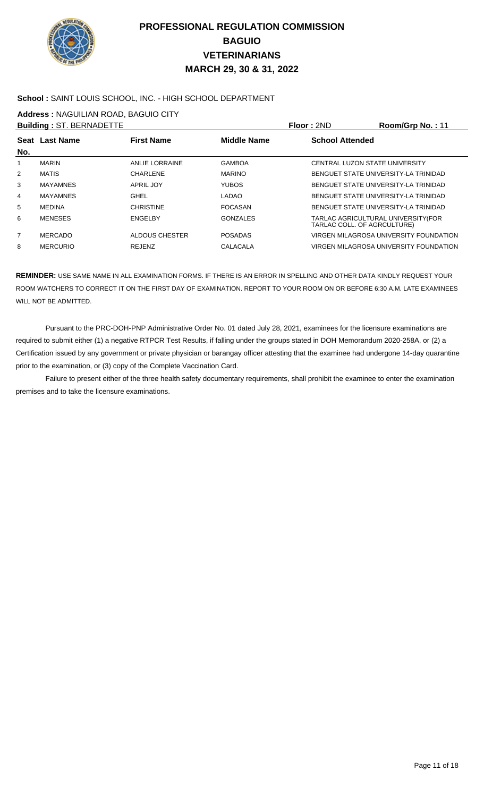

#### **School :** SAINT LOUIS SCHOOL, INC. - HIGH SCHOOL DEPARTMENT

**Address :** NAGUILIAN ROAD, BAGUIO CITY

|                | <b>Building: ST. BERNADETTE</b> |                   |                    | Floor: 2ND                                                         | Room/Grp No.: 11                       |
|----------------|---------------------------------|-------------------|--------------------|--------------------------------------------------------------------|----------------------------------------|
| No.            | <b>Seat Last Name</b>           | <b>First Name</b> | <b>Middle Name</b> | <b>School Attended</b>                                             |                                        |
| 1              | <b>MARIN</b>                    | ANLIE LORRAINE    | <b>GAMBOA</b>      | CENTRAL LUZON STATE UNIVERSITY                                     |                                        |
| $\overline{2}$ | <b>MATIS</b>                    | <b>CHARLENE</b>   | <b>MARINO</b>      |                                                                    | BENGUET STATE UNIVERSITY-LA TRINIDAD   |
| 3              | <b>MAYAMNES</b>                 | APRIL JOY         | <b>YUBOS</b>       |                                                                    | BENGUET STATE UNIVERSITY LA TRINIDAD   |
| 4              | <b>MAYAMNES</b>                 | <b>GHEL</b>       | <b>LADAO</b>       |                                                                    | BENGUET STATE UNIVERSITY-LA TRINIDAD   |
| 5              | <b>MEDINA</b>                   | <b>CHRISTINE</b>  | <b>FOCASAN</b>     |                                                                    | BENGUET STATE UNIVERSITY-LA TRINIDAD   |
| 6              | <b>MENESES</b>                  | <b>ENGELBY</b>    | GONZALES           | TARLAC AGRICULTURAL UNIVERSITY (FOR<br>TARLAC COLL. OF AGRCULTURE) |                                        |
| $\overline{7}$ | <b>MERCADO</b>                  | ALDOUS CHESTER    | <b>POSADAS</b>     |                                                                    | VIRGEN MILAGROSA UNIVERSITY FOUNDATION |
| 8              | <b>MERCURIO</b>                 | <b>REJENZ</b>     | <b>CALACALA</b>    |                                                                    | VIRGEN MILAGROSA UNIVERSITY FOUNDATION |

**REMINDER:** USE SAME NAME IN ALL EXAMINATION FORMS. IF THERE IS AN ERROR IN SPELLING AND OTHER DATA KINDLY REQUEST YOUR ROOM WATCHERS TO CORRECT IT ON THE FIRST DAY OF EXAMINATION. REPORT TO YOUR ROOM ON OR BEFORE 6:30 A.M. LATE EXAMINEES WILL NOT BE ADMITTED.

 Pursuant to the PRC-DOH-PNP Administrative Order No. 01 dated July 28, 2021, examinees for the licensure examinations are required to submit either (1) a negative RTPCR Test Results, if falling under the groups stated in DOH Memorandum 2020-258A, or (2) a Certification issued by any government or private physician or barangay officer attesting that the examinee had undergone 14-day quarantine prior to the examination, or (3) copy of the Complete Vaccination Card.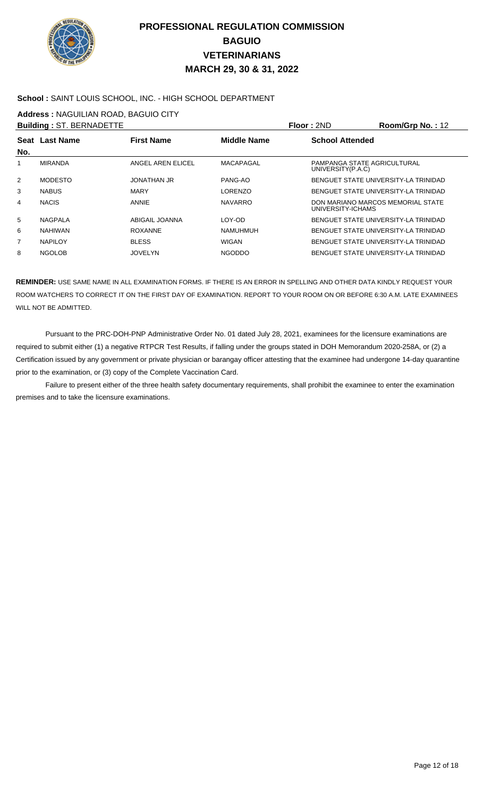

### **School :** SAINT LOUIS SCHOOL, INC. - HIGH SCHOOL DEPARTMENT

**Address :** NAGUILIAN ROAD, BAGUIO CITY

|                | <b>Building: ST. BERNADETTE</b> |                    |                    | Floor: 2ND                                       | Room/Grp No.: 12                     |
|----------------|---------------------------------|--------------------|--------------------|--------------------------------------------------|--------------------------------------|
|                | Seat Last Name                  | <b>First Name</b>  | <b>Middle Name</b> | <b>School Attended</b>                           |                                      |
| No.            |                                 |                    |                    |                                                  |                                      |
|                | <b>MIRANDA</b>                  | ANGEL AREN ELICEL  | MACAPAGAL          | PAMPANGA STATE AGRICULTURAL<br>UNIVERSITY(P.A.C) |                                      |
| $\overline{2}$ | <b>MODESTO</b>                  | <b>JONATHAN JR</b> | PANG-AO            |                                                  | BENGUET STATE UNIVERSITY-LA TRINIDAD |
| 3              | <b>NABUS</b>                    | <b>MARY</b>        | <b>LORENZO</b>     |                                                  | BENGUET STATE UNIVERSITY-LA TRINIDAD |
| 4              | <b>NACIS</b>                    | ANNIE              | <b>NAVARRO</b>     | UNIVERSITY-ICHAMS                                | DON MARIANO MARCOS MEMORIAL STATE    |
| 5              | NAGPALA                         | ABIGAIL JOANNA     | LOY-OD             |                                                  | BENGUET STATE UNIVERSITY-LA TRINIDAD |
| 6              | <b>NAHIWAN</b>                  | <b>ROXANNE</b>     | <b>NAMUHMUH</b>    |                                                  | BENGUET STATE UNIVERSITY-LA TRINIDAD |
| $\overline{7}$ | <b>NAPILOY</b>                  | <b>BLESS</b>       | <b>WIGAN</b>       |                                                  | BENGUET STATE UNIVERSITY LA TRINIDAD |
| 8              | <b>NGOLOB</b>                   | <b>JOVELYN</b>     | <b>NGODDO</b>      |                                                  | BENGUET STATE UNIVERSITY-LA TRINIDAD |

**REMINDER:** USE SAME NAME IN ALL EXAMINATION FORMS. IF THERE IS AN ERROR IN SPELLING AND OTHER DATA KINDLY REQUEST YOUR ROOM WATCHERS TO CORRECT IT ON THE FIRST DAY OF EXAMINATION. REPORT TO YOUR ROOM ON OR BEFORE 6:30 A.M. LATE EXAMINEES WILL NOT BE ADMITTED.

 Pursuant to the PRC-DOH-PNP Administrative Order No. 01 dated July 28, 2021, examinees for the licensure examinations are required to submit either (1) a negative RTPCR Test Results, if falling under the groups stated in DOH Memorandum 2020-258A, or (2) a Certification issued by any government or private physician or barangay officer attesting that the examinee had undergone 14-day quarantine prior to the examination, or (3) copy of the Complete Vaccination Card.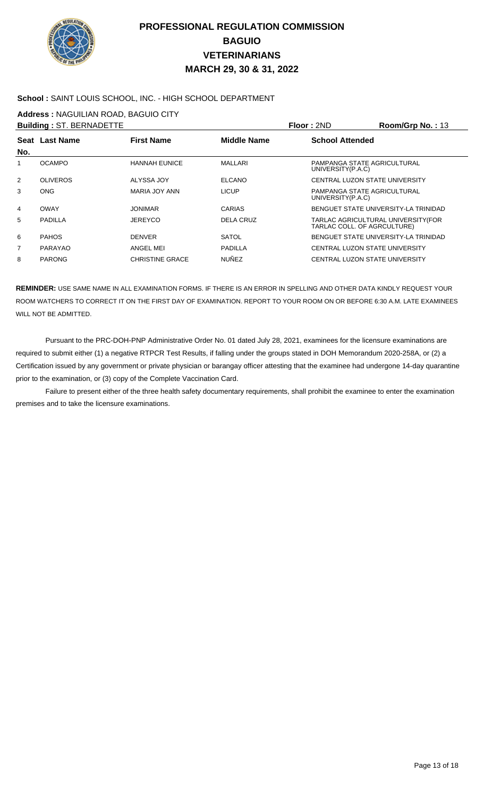

### **School :** SAINT LOUIS SCHOOL, INC. - HIGH SCHOOL DEPARTMENT

**Address :** NAGUILIAN ROAD, BAGUIO CITY

|                | <b>Building: ST. BERNADETTE</b> |                        |                    | Floor: 2ND                                       | Room/Grp No.: 13                     |
|----------------|---------------------------------|------------------------|--------------------|--------------------------------------------------|--------------------------------------|
|                | Seat Last Name                  | <b>First Name</b>      | <b>Middle Name</b> | <b>School Attended</b>                           |                                      |
| No.            |                                 |                        |                    |                                                  |                                      |
|                | <b>OCAMPO</b>                   | <b>HANNAH EUNICE</b>   | MALLARI            | PAMPANGA STATE AGRICULTURAL<br>UNIVERSITY(P.A.C) |                                      |
| $\overline{2}$ | <b>OLIVEROS</b>                 | ALYSSA JOY             | <b>ELCANO</b>      | CENTRAL LUZON STATE UNIVERSITY                   |                                      |
| 3              | <b>ONG</b>                      | MARIA JOY ANN          | <b>LICUP</b>       | PAMPANGA STATE AGRICULTURAL<br>UNIVERSITY(P.A.C) |                                      |
| 4              | <b>OWAY</b>                     | <b>JONIMAR</b>         | CARIAS             |                                                  | BENGUET STATE UNIVERSITY-LA TRINIDAD |
| 5              | PADILLA                         | JEREYCO                | DELA CRUZ          | TARLAC COLL. OF AGRCULTURE)                      | TARLAC AGRICULTURAL UNIVERSITY (FOR  |
| 6              | <b>PAHOS</b>                    | <b>DENVER</b>          | <b>SATOL</b>       |                                                  | BENGUET STATE UNIVERSITY-LA TRINIDAD |
| $\overline{7}$ | PARAYAO                         | ANGEL MEI              | <b>PADILLA</b>     | CENTRAL LUZON STATE UNIVERSITY                   |                                      |
| 8              | <b>PARONG</b>                   | <b>CHRISTINE GRACE</b> | <b>NUÑEZ</b>       | CENTRAL LUZON STATE UNIVERSITY                   |                                      |

**REMINDER:** USE SAME NAME IN ALL EXAMINATION FORMS. IF THERE IS AN ERROR IN SPELLING AND OTHER DATA KINDLY REQUEST YOUR ROOM WATCHERS TO CORRECT IT ON THE FIRST DAY OF EXAMINATION. REPORT TO YOUR ROOM ON OR BEFORE 6:30 A.M. LATE EXAMINEES WILL NOT BE ADMITTED.

 Pursuant to the PRC-DOH-PNP Administrative Order No. 01 dated July 28, 2021, examinees for the licensure examinations are required to submit either (1) a negative RTPCR Test Results, if falling under the groups stated in DOH Memorandum 2020-258A, or (2) a Certification issued by any government or private physician or barangay officer attesting that the examinee had undergone 14-day quarantine prior to the examination, or (3) copy of the Complete Vaccination Card.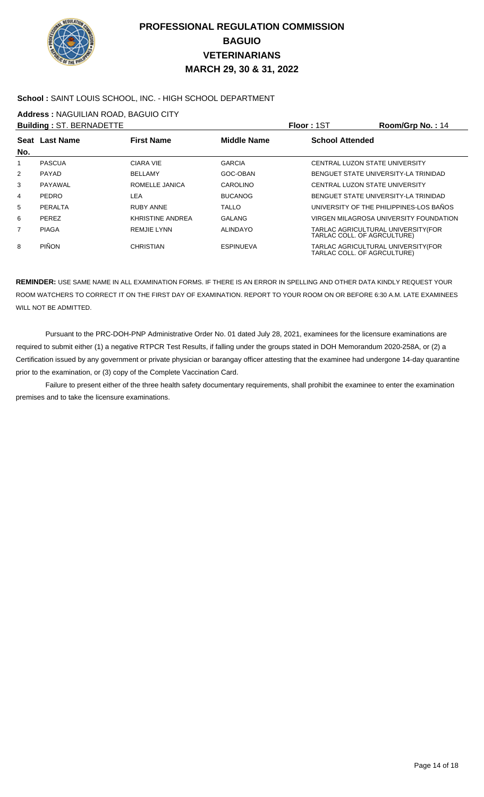

### **School :** SAINT LOUIS SCHOOL, INC. - HIGH SCHOOL DEPARTMENT

**Address :** NAGUILIAN ROAD, BAGUIO CITY

|                | <b>Building: ST. BERNADETTE</b> |                    |                    | Floor: 1ST                  | Room/Grp No.: 14                        |
|----------------|---------------------------------|--------------------|--------------------|-----------------------------|-----------------------------------------|
|                | Seat Last Name                  | <b>First Name</b>  | <b>Middle Name</b> | <b>School Attended</b>      |                                         |
| No.            |                                 |                    |                    |                             |                                         |
|                | <b>PASCUA</b>                   | CIARA VIE          | <b>GARCIA</b>      |                             | CENTRAL LUZON STATE UNIVERSITY          |
| 2              | PAYAD                           | <b>BELLAMY</b>     | GOC-OBAN           |                             | BENGUET STATE UNIVERSITY-LA TRINIDAD    |
| 3              | PAYAWAL                         | ROMELLE JANICA     | CAROLINO           |                             | CENTRAL LUZON STATE UNIVERSITY          |
| 4              | PEDRO                           | LEA                | <b>BUCANOG</b>     |                             | BENGUET STATE UNIVERSITY-LA TRINIDAD    |
| 5              | PERALTA                         | <b>RUBY ANNE</b>   | <b>TALLO</b>       |                             | UNIVERSITY OF THE PHILIPPINES-LOS BAÑOS |
| 6              | <b>PEREZ</b>                    | KHRISTINE ANDREA   | <b>GALANG</b>      |                             | VIRGEN MILAGROSA UNIVERSITY FOUNDATION  |
| $\overline{7}$ | <b>PIAGA</b>                    | <b>REMJIE LYNN</b> | ALINDAYO           | TARLAC COLL. OF AGRCULTURE) | TARLAC AGRICULTURAL UNIVERSITY (FOR     |
| 8              | <b>PIÑON</b>                    | CHRISTIAN          | <b>ESPINUEVA</b>   | TARLAC COLL. OF AGRCULTURE) | TARLAC AGRICULTURAL UNIVERSITY(FOR      |

**REMINDER:** USE SAME NAME IN ALL EXAMINATION FORMS. IF THERE IS AN ERROR IN SPELLING AND OTHER DATA KINDLY REQUEST YOUR ROOM WATCHERS TO CORRECT IT ON THE FIRST DAY OF EXAMINATION. REPORT TO YOUR ROOM ON OR BEFORE 6:30 A.M. LATE EXAMINEES WILL NOT BE ADMITTED.

 Pursuant to the PRC-DOH-PNP Administrative Order No. 01 dated July 28, 2021, examinees for the licensure examinations are required to submit either (1) a negative RTPCR Test Results, if falling under the groups stated in DOH Memorandum 2020-258A, or (2) a Certification issued by any government or private physician or barangay officer attesting that the examinee had undergone 14-day quarantine prior to the examination, or (3) copy of the Complete Vaccination Card.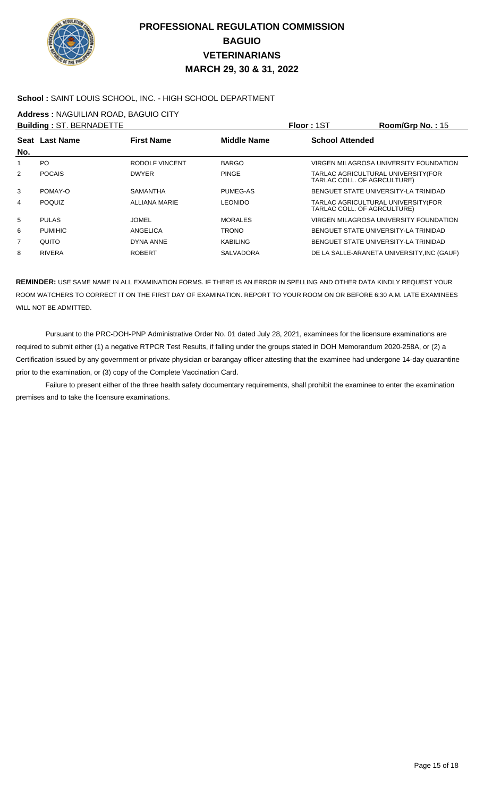

### **School :** SAINT LOUIS SCHOOL, INC. - HIGH SCHOOL DEPARTMENT

**Address :** NAGUILIAN ROAD, BAGUIO CITY

|                | <b>Building: ST. BERNADETTE</b> |                   |                    | <b>Floor: 1ST</b>                                                 | Room/Grp No.: 15                           |
|----------------|---------------------------------|-------------------|--------------------|-------------------------------------------------------------------|--------------------------------------------|
| No.            | Seat Last Name                  | <b>First Name</b> | <b>Middle Name</b> | <b>School Attended</b>                                            |                                            |
|                | PO.                             | RODOLF VINCENT    | <b>BARGO</b>       |                                                                   | VIRGEN MILAGROSA UNIVERSITY FOUNDATION     |
| $\overline{2}$ | <b>POCAIS</b>                   | <b>DWYER</b>      | <b>PINGE</b>       | TARLAC AGRICULTURAL UNIVERSITY(FOR<br>TARLAC COLL. OF AGRCULTURE) |                                            |
| 3              | POMAY-O                         | <b>SAMANTHA</b>   | PUMEG-AS           |                                                                   | BENGUET STATE UNIVERSITY-LA TRINIDAD       |
| 4              | <b>POQUIZ</b>                   | ALLIANA MARIE     | LEONIDO            | TARLAC AGRICULTURAL UNIVERSITY(FOR<br>TARLAC COLL. OF AGRCULTURE) |                                            |
| 5              | <b>PULAS</b>                    | <b>JOMEL</b>      | <b>MORALES</b>     |                                                                   | VIRGEN MILAGROSA UNIVERSITY FOUNDATION     |
| 6              | <b>PUMIHIC</b>                  | ANGELICA          | TRONO              |                                                                   | BENGUET STATE UNIVERSITY-LA TRINIDAD       |
| 7              | QUITO                           | DYNA ANNE         | <b>KABILING</b>    |                                                                   | BENGUET STATE UNIVERSITY-LA TRINIDAD       |
| 8              | <b>RIVERA</b>                   | <b>ROBERT</b>     | <b>SALVADORA</b>   |                                                                   | DE LA SALLE-ARANETA UNIVERSITY, INC (GAUF) |

**REMINDER:** USE SAME NAME IN ALL EXAMINATION FORMS. IF THERE IS AN ERROR IN SPELLING AND OTHER DATA KINDLY REQUEST YOUR ROOM WATCHERS TO CORRECT IT ON THE FIRST DAY OF EXAMINATION. REPORT TO YOUR ROOM ON OR BEFORE 6:30 A.M. LATE EXAMINEES WILL NOT BE ADMITTED.

 Pursuant to the PRC-DOH-PNP Administrative Order No. 01 dated July 28, 2021, examinees for the licensure examinations are required to submit either (1) a negative RTPCR Test Results, if falling under the groups stated in DOH Memorandum 2020-258A, or (2) a Certification issued by any government or private physician or barangay officer attesting that the examinee had undergone 14-day quarantine prior to the examination, or (3) copy of the Complete Vaccination Card.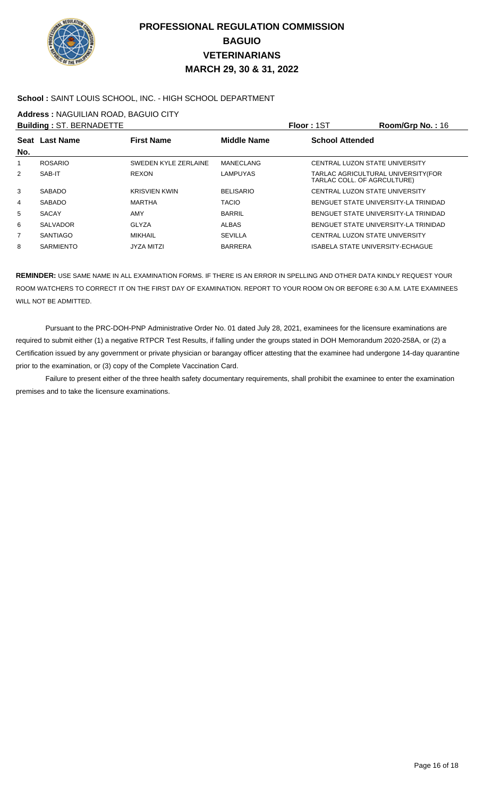

### **School :** SAINT LOUIS SCHOOL, INC. - HIGH SCHOOL DEPARTMENT

**Address :** NAGUILIAN ROAD, BAGUIO CITY

|     | <b>Building: ST. BERNADETTE</b> |                      |                    | <b>Floor: 1ST</b>                | Room/Grp No.: 16                     |
|-----|---------------------------------|----------------------|--------------------|----------------------------------|--------------------------------------|
| No. | Seat Last Name                  | <b>First Name</b>    | <b>Middle Name</b> | <b>School Attended</b>           |                                      |
|     | <b>ROSARIO</b>                  | SWEDEN KYLE ZERLAINE | <b>MANECLANG</b>   | CENTRAL LUZON STATE UNIVERSITY   |                                      |
| 2   | SAB-IT                          | <b>REXON</b>         | <b>LAMPUYAS</b>    | TARLAC COLL. OF AGRCULTURE)      | TARLAC AGRICULTURAL UNIVERSITY(FOR   |
| 3   | <b>SABADO</b>                   | <b>KRISVIEN KWIN</b> | <b>BELISARIO</b>   | CENTRAL LUZON STATE UNIVERSITY   |                                      |
| 4   | <b>SABADO</b>                   | MARTHA               | <b>TACIO</b>       |                                  | BENGUET STATE UNIVERSITY-LA TRINIDAD |
| 5   | <b>SACAY</b>                    | AMY                  | <b>BARRIL</b>      |                                  | BENGUET STATE UNIVERSITY-LA TRINIDAD |
| 6   | <b>SALVADOR</b>                 | GLYZA                | <b>ALBAS</b>       |                                  | BENGUET STATE UNIVERSITY-LA TRINIDAD |
| 7   | <b>SANTIAGO</b>                 | MIKHAIL              | <b>SEVILLA</b>     | CENTRAL LUZON STATE UNIVERSITY   |                                      |
| 8   | <b>SARMIENTO</b>                | <b>JYZA MITZI</b>    | <b>BARRERA</b>     | ISABELA STATE UNIVERSITY-ECHAGUE |                                      |

**REMINDER:** USE SAME NAME IN ALL EXAMINATION FORMS. IF THERE IS AN ERROR IN SPELLING AND OTHER DATA KINDLY REQUEST YOUR ROOM WATCHERS TO CORRECT IT ON THE FIRST DAY OF EXAMINATION. REPORT TO YOUR ROOM ON OR BEFORE 6:30 A.M. LATE EXAMINEES WILL NOT BE ADMITTED.

 Pursuant to the PRC-DOH-PNP Administrative Order No. 01 dated July 28, 2021, examinees for the licensure examinations are required to submit either (1) a negative RTPCR Test Results, if falling under the groups stated in DOH Memorandum 2020-258A, or (2) a Certification issued by any government or private physician or barangay officer attesting that the examinee had undergone 14-day quarantine prior to the examination, or (3) copy of the Complete Vaccination Card.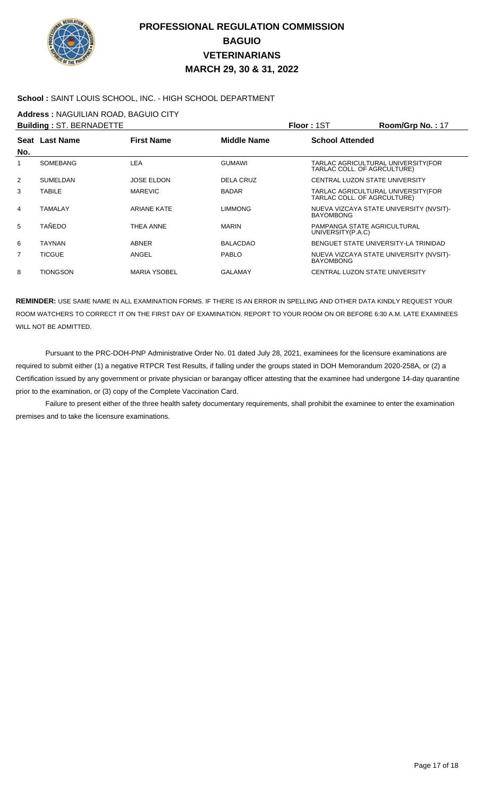

### **School :** SAINT LOUIS SCHOOL, INC. - HIGH SCHOOL DEPARTMENT

**Address :** NAGUILIAN ROAD, BAGUIO CITY

|                | <b>Building: ST. BERNADETTE</b> |                     |                    | Floor: 1ST                                                        | Room/Grp No.: 17                        |
|----------------|---------------------------------|---------------------|--------------------|-------------------------------------------------------------------|-----------------------------------------|
|                | Seat Last Name                  | <b>First Name</b>   | <b>Middle Name</b> | <b>School Attended</b>                                            |                                         |
| No.            |                                 |                     |                    |                                                                   |                                         |
| 1              | SOMEBANG                        | LEA                 | <b>GUMAWI</b>      | TARLAC AGRICULTURAL UNIVERSITY(FOR<br>TARLAC COLL. OF AGRCULTURE) |                                         |
| 2              | <b>SUMELDAN</b>                 | <b>JOSE ELDON</b>   | <b>DELA CRUZ</b>   | CENTRAL LUZON STATE UNIVERSITY                                    |                                         |
| 3              | <b>TABILE</b>                   | <b>MAREVIC</b>      | <b>BADAR</b>       | TARLAC AGRICULTURAL UNIVERSITY(FOR<br>TARLAC COLL. OF AGRCULTURE) |                                         |
| 4              | <b>TAMALAY</b>                  | ARIANE KATE         | <b>LIMMONG</b>     | <b>BAYOMBONG</b>                                                  | NUEVA VIZCAYA STATE UNIVERSITY (NVSIT)- |
| 5              | TAÑEDO                          | <b>THEA ANNE</b>    | <b>MARIN</b>       | PAMPANGA STATE AGRICULTURAL<br>UNIVERSITY(P.A.C)                  |                                         |
| 6              | <b>TAYNAN</b>                   | <b>ABNER</b>        | <b>BALACDAO</b>    | BENGUET STATE UNIVERSITY-LA TRINIDAD                              |                                         |
| $\overline{7}$ | <b>TICGUE</b>                   | ANGEL               | <b>PABLO</b>       | <b>BAYOMBONG</b>                                                  | NUEVA VIZCAYA STATE UNIVERSITY (NVSIT)- |
| 8              | TIONGSON                        | <b>MARIA YSOBEL</b> | <b>GALAMAY</b>     | CENTRAL LUZON STATE UNIVERSITY                                    |                                         |

**REMINDER:** USE SAME NAME IN ALL EXAMINATION FORMS. IF THERE IS AN ERROR IN SPELLING AND OTHER DATA KINDLY REQUEST YOUR ROOM WATCHERS TO CORRECT IT ON THE FIRST DAY OF EXAMINATION. REPORT TO YOUR ROOM ON OR BEFORE 6:30 A.M. LATE EXAMINEES WILL NOT BE ADMITTED.

 Pursuant to the PRC-DOH-PNP Administrative Order No. 01 dated July 28, 2021, examinees for the licensure examinations are required to submit either (1) a negative RTPCR Test Results, if falling under the groups stated in DOH Memorandum 2020-258A, or (2) a Certification issued by any government or private physician or barangay officer attesting that the examinee had undergone 14-day quarantine prior to the examination, or (3) copy of the Complete Vaccination Card.